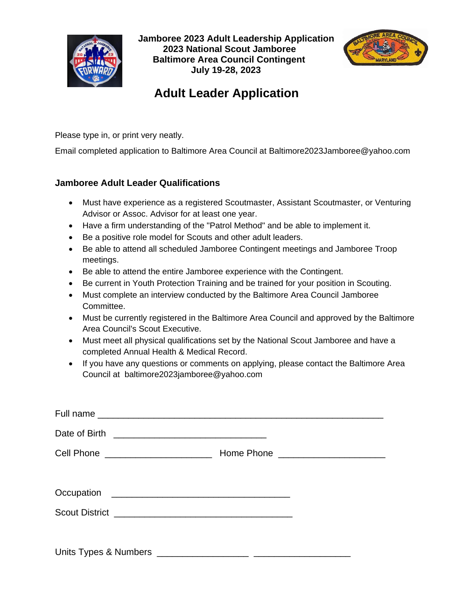

 **Jamboree 2023 Adult Leadership Application 2023 National Scout Jamboree Baltimore Area Council Contingent July 19-28, 2023**



## **Adult Leader Application**

Please type in, or print very neatly.

Email completed application to Baltimore Area Council at Baltimore2023Jamboree@yahoo.com

## **Jamboree Adult Leader Qualifications**

- Must have experience as a registered Scoutmaster, Assistant Scoutmaster, or Venturing Advisor or Assoc. Advisor for at least one year.
- Have a firm understanding of the "Patrol Method" and be able to implement it.
- Be a positive role model for Scouts and other adult leaders.
- Be able to attend all scheduled Jamboree Contingent meetings and Jamboree Troop meetings.
- Be able to attend the entire Jamboree experience with the Contingent.
- Be current in Youth Protection Training and be trained for your position in Scouting.
- Must complete an interview conducted by the Baltimore Area Council Jamboree Committee.
- Must be currently registered in the Baltimore Area Council and approved by the Baltimore Area Council's Scout Executive.
- Must meet all physical qualifications set by the National Scout Jamboree and have a completed Annual Health & Medical Record.
- If you have any questions or comments on applying, please contact the Baltimore Area Council at baltimore2023jamboree@yahoo.com

| Cell Phone ______________________ | Home Phone _______________________ |
|-----------------------------------|------------------------------------|
|                                   |                                    |
|                                   |                                    |
|                                   |                                    |
|                                   |                                    |
|                                   |                                    |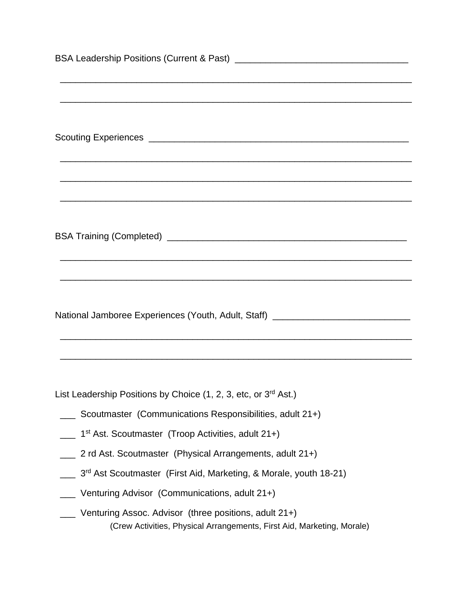| National Jamboree Experiences (Youth, Adult, Staff) ____________________________                                                |  |
|---------------------------------------------------------------------------------------------------------------------------------|--|
|                                                                                                                                 |  |
|                                                                                                                                 |  |
|                                                                                                                                 |  |
| List Leadership Positions by Choice (1, 2, 3, etc, or 3rd Ast.)                                                                 |  |
| Scoutmaster (Communications Responsibilities, adult 21+)                                                                        |  |
| 1 <sup>st</sup> Ast. Scoutmaster (Troop Activities, adult 21+)                                                                  |  |
| 2 rd Ast. Scoutmaster (Physical Arrangements, adult 21+)                                                                        |  |
| __ 3 <sup>rd</sup> Ast Scoutmaster (First Aid, Marketing, & Morale, youth 18-21)                                                |  |
| Venturing Advisor (Communications, adult 21+)                                                                                   |  |
|                                                                                                                                 |  |
| Venturing Assoc. Advisor (three positions, adult 21+)<br>(Crew Activities, Physical Arrangements, First Aid, Marketing, Morale) |  |